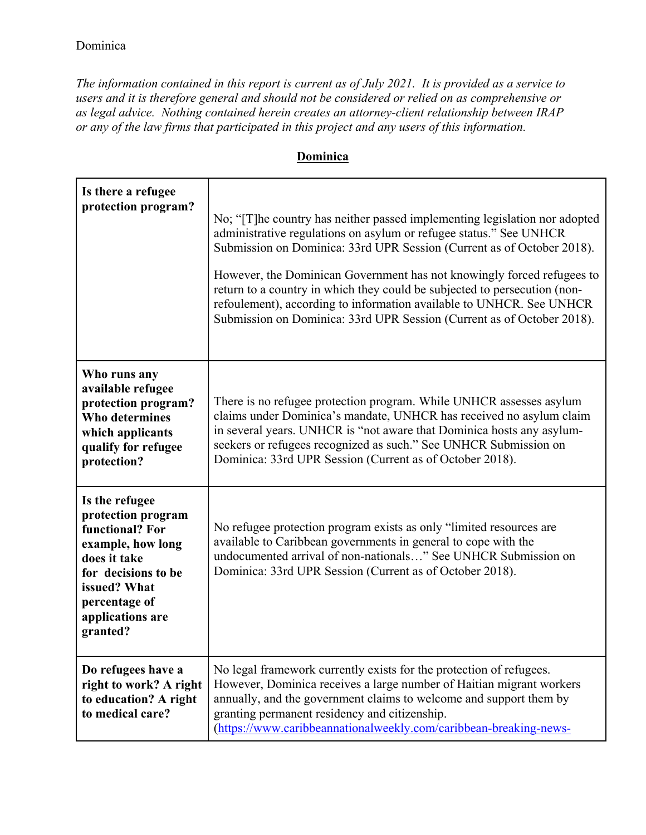*The information contained in this report is current as of July 2021. It is provided as a service to users and it is therefore general and should not be considered or relied on as comprehensive or as legal advice. Nothing contained herein creates an attorney-client relationship between IRAP or any of the law firms that participated in this project and any users of this information.* 

| Dominica |  |
|----------|--|
|          |  |

| Is there a refugee<br>protection program?                                                                                                                                            | No; "[T] he country has neither passed implementing legislation nor adopted<br>administrative regulations on asylum or refugee status." See UNHCR<br>Submission on Dominica: 33rd UPR Session (Current as of October 2018).<br>However, the Dominican Government has not knowingly forced refugees to<br>return to a country in which they could be subjected to persecution (non-<br>refoulement), according to information available to UNHCR. See UNHCR<br>Submission on Dominica: 33rd UPR Session (Current as of October 2018). |
|--------------------------------------------------------------------------------------------------------------------------------------------------------------------------------------|--------------------------------------------------------------------------------------------------------------------------------------------------------------------------------------------------------------------------------------------------------------------------------------------------------------------------------------------------------------------------------------------------------------------------------------------------------------------------------------------------------------------------------------|
| Who runs any<br>available refugee<br>protection program?<br><b>Who determines</b><br>which applicants<br>qualify for refugee<br>protection?                                          | There is no refugee protection program. While UNHCR assesses asylum<br>claims under Dominica's mandate, UNHCR has received no asylum claim<br>in several years. UNHCR is "not aware that Dominica hosts any asylum-<br>seekers or refugees recognized as such." See UNHCR Submission on<br>Dominica: 33rd UPR Session (Current as of October 2018).                                                                                                                                                                                  |
| Is the refugee<br>protection program<br>functional? For<br>example, how long<br>does it take<br>for decisions to be<br>issued? What<br>percentage of<br>applications are<br>granted? | No refugee protection program exists as only "limited resources are<br>available to Caribbean governments in general to cope with the<br>undocumented arrival of non-nationals" See UNHCR Submission on<br>Dominica: 33rd UPR Session (Current as of October 2018).                                                                                                                                                                                                                                                                  |
| Do refugees have a<br>right to work? A right<br>to education? A right<br>to medical care?                                                                                            | No legal framework currently exists for the protection of refugees.<br>However, Dominica receives a large number of Haitian migrant workers<br>annually, and the government claims to welcome and support them by<br>granting permanent residency and citizenship.<br>(https://www.caribbeannationalweekly.com/caribbean-breaking-news-                                                                                                                                                                                              |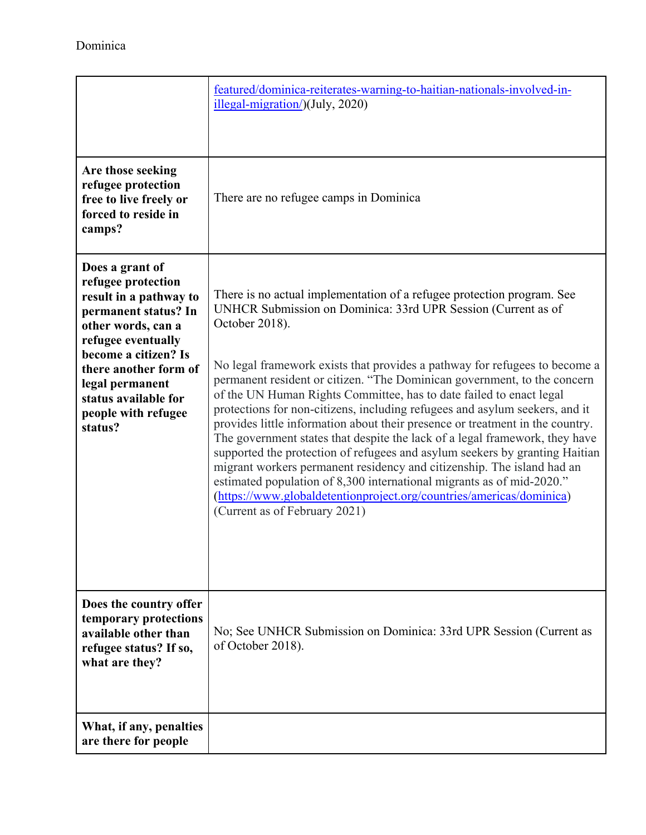|                                                                                                                                                                                                                                                                   | featured/dominica-reiterates-warning-to-haitian-nationals-involved-in-<br>illegal-migration/)(July, 2020)                                                                                                                                                                                                                                                                                                                                                                                                                                                                                                                                                                                                                                                                                                                                                                                                                                                                            |
|-------------------------------------------------------------------------------------------------------------------------------------------------------------------------------------------------------------------------------------------------------------------|--------------------------------------------------------------------------------------------------------------------------------------------------------------------------------------------------------------------------------------------------------------------------------------------------------------------------------------------------------------------------------------------------------------------------------------------------------------------------------------------------------------------------------------------------------------------------------------------------------------------------------------------------------------------------------------------------------------------------------------------------------------------------------------------------------------------------------------------------------------------------------------------------------------------------------------------------------------------------------------|
| Are those seeking<br>refugee protection<br>free to live freely or<br>forced to reside in<br>camps?                                                                                                                                                                | There are no refugee camps in Dominica                                                                                                                                                                                                                                                                                                                                                                                                                                                                                                                                                                                                                                                                                                                                                                                                                                                                                                                                               |
| Does a grant of<br>refugee protection<br>result in a pathway to<br>permanent status? In<br>other words, can a<br>refugee eventually<br>become a citizen? Is<br>there another form of<br>legal permanent<br>status available for<br>people with refugee<br>status? | There is no actual implementation of a refugee protection program. See<br>UNHCR Submission on Dominica: 33rd UPR Session (Current as of<br>October 2018).<br>No legal framework exists that provides a pathway for refugees to become a<br>permanent resident or citizen. "The Dominican government, to the concern<br>of the UN Human Rights Committee, has to date failed to enact legal<br>protections for non-citizens, including refugees and asylum seekers, and it<br>provides little information about their presence or treatment in the country.<br>The government states that despite the lack of a legal framework, they have<br>supported the protection of refugees and asylum seekers by granting Haitian<br>migrant workers permanent residency and citizenship. The island had an<br>estimated population of 8,300 international migrants as of mid-2020."<br>(https://www.globaldetentionproject.org/countries/americas/dominica)<br>(Current as of February 2021) |
| Does the country offer<br>temporary protections<br>available other than<br>refugee status? If so,<br>what are they?                                                                                                                                               | No; See UNHCR Submission on Dominica: 33rd UPR Session (Current as<br>of October 2018).                                                                                                                                                                                                                                                                                                                                                                                                                                                                                                                                                                                                                                                                                                                                                                                                                                                                                              |
| What, if any, penalties<br>are there for people                                                                                                                                                                                                                   |                                                                                                                                                                                                                                                                                                                                                                                                                                                                                                                                                                                                                                                                                                                                                                                                                                                                                                                                                                                      |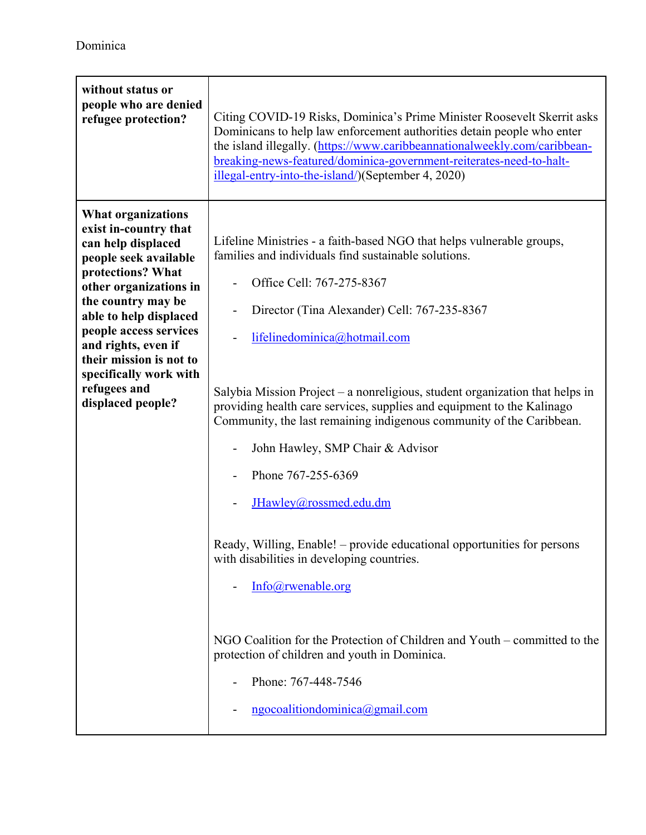| without status or<br>people who are denied<br>refugee protection?                                                                                                                                                                                                                                                                           | Citing COVID-19 Risks, Dominica's Prime Minister Roosevelt Skerrit asks<br>Dominicans to help law enforcement authorities detain people who enter<br>the island illegally. (https://www.caribbeannationalweekly.com/caribbean-<br>breaking-news-featured/dominica-government-reiterates-need-to-halt-<br>illegal-entry-into-the-island/)(September 4, 2020)                                                                                                                                                                                                                                                                                                                                                                                                                                                                                                                                                |
|---------------------------------------------------------------------------------------------------------------------------------------------------------------------------------------------------------------------------------------------------------------------------------------------------------------------------------------------|------------------------------------------------------------------------------------------------------------------------------------------------------------------------------------------------------------------------------------------------------------------------------------------------------------------------------------------------------------------------------------------------------------------------------------------------------------------------------------------------------------------------------------------------------------------------------------------------------------------------------------------------------------------------------------------------------------------------------------------------------------------------------------------------------------------------------------------------------------------------------------------------------------|
| <b>What organizations</b><br>exist in-country that<br>can help displaced<br>people seek available<br>protections? What<br>other organizations in<br>the country may be<br>able to help displaced<br>people access services<br>and rights, even if<br>their mission is not to<br>specifically work with<br>refugees and<br>displaced people? | Lifeline Ministries - a faith-based NGO that helps vulnerable groups,<br>families and individuals find sustainable solutions.<br>Office Cell: 767-275-8367<br>-<br>Director (Tina Alexander) Cell: 767-235-8367<br>lifelinedominica@hotmail.com<br>Salybia Mission Project – a nonreligious, student organization that helps in<br>providing health care services, supplies and equipment to the Kalinago<br>Community, the last remaining indigenous community of the Caribbean.<br>John Hawley, SMP Chair & Advisor<br>Phone 767-255-6369<br>JHawley@rossmed.edu.dm<br>Ready, Willing, Enable! – provide educational opportunities for persons<br>with disabilities in developing countries.<br>Info@rwenable.org<br>NGO Coalition for the Protection of Children and Youth – committed to the<br>protection of children and youth in Dominica.<br>Phone: 767-448-7546<br>ngocoalitiondominica@gmail.com |